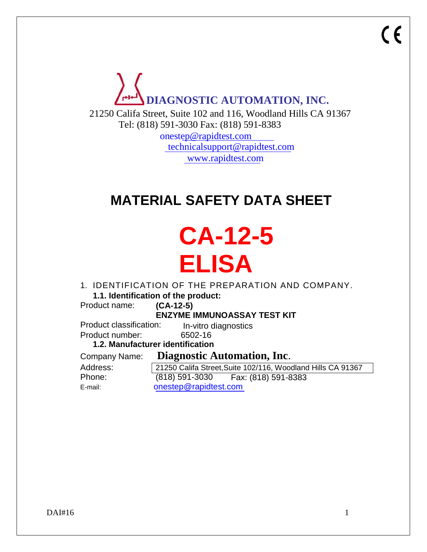

21250 Califa Street, Suite 102 and 116, Woodland Hills CA 91367 Tel: (818) 591-3030 Fax: (818) 591-8383

> [onestep@rapidtest.com](mailto:onestep@rapidtest.com) [technicalsupport@rapidtest.com](mailto:technicalsupport@rapidtest.com) [www.rapidtest.com](http://www.rapidtest.com/)

# **MATERIAL SAFETY DATA SHEET**

# **CA-12-5 ELISA**

1. IDENTIFICATION OF THE PREPARATION AND COMPANY.

**1.1. Identification of the product:**

Product name: **(CA-12-5)** 

**ENZYME IMMUNOASSAY TEST KIT**

In-vitro diagnostics Product classification:

Product number: 6502-16

**1.2. Manufacturer identification**

Address: Phone: Company Name: **Diagnostic Automation, Inc**.

(818) 591-3030 Fax: (818) 591-8383 E-mail: [onestep@rapidtest.com](mailto:onestep@rapidtest.com) 21250 Califa Street,Suite 102/116, Woodland Hills CA 91367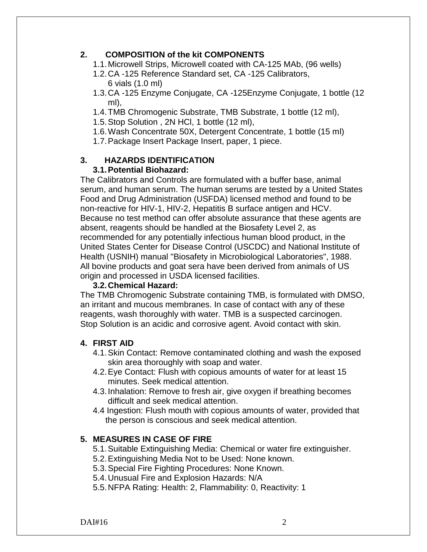# **2. COMPOSITION of the kit COMPONENTS**

- 1.1.Microwell Strips, Microwell coated with CA-125 MAb, (96 wells)
- 1.2.CA -125 Reference Standard set, CA -125 Calibrators, 6 vials (1.0 ml)
- 1.3.CA -125 Enzyme Conjugate, CA -125Enzyme Conjugate, 1 bottle (12 ml),
- 1.4.TMB Chromogenic Substrate, TMB Substrate, 1 bottle (12 ml),
- 1.5.Stop Solution , 2N HCl, 1 bottle (12 ml),
- 1.6.Wash Concentrate 50X, Detergent Concentrate, 1 bottle (15 ml)
- 1.7.Package Insert Package Insert, paper, 1 piece.

# **3. HAZARDS IDENTIFICATION**

# **3.1.Potential Biohazard:**

The Calibrators and Controls are formulated with a buffer base, animal serum, and human serum. The human serums are tested by a United States Food and Drug Administration (USFDA) licensed method and found to be non-reactive for HIV-1, HIV-2, Hepatitis B surface antigen and HCV. Because no test method can offer absolute assurance that these agents are absent, reagents should be handled at the Biosafety Level 2, as recommended for any potentially infectious human blood product, in the United States Center for Disease Control (USCDC) and National Institute of Health (USNIH) manual "Biosafety in Microbiological Laboratories", 1988. All bovine products and goat sera have been derived from animals of US origin and processed in USDA licensed facilities.

#### **3.2.Chemical Hazard:**

The TMB Chromogenic Substrate containing TMB, is formulated with DMSO, an irritant and mucous membranes. In case of contact with any of these reagents, wash thoroughly with water. TMB is a suspected carcinogen. Stop Solution is an acidic and corrosive agent. Avoid contact with skin.

# **4. FIRST AID**

- 4.1.Skin Contact: Remove contaminated clothing and wash the exposed skin area thoroughly with soap and water.
- 4.2.Eye Contact: Flush with copious amounts of water for at least 15 minutes. Seek medical attention.
- 4.3.Inhalation: Remove to fresh air, give oxygen if breathing becomes difficult and seek medical attention.
- 4.4 Ingestion: Flush mouth with copious amounts of water, provided that the person is conscious and seek medical attention.

# **5. MEASURES IN CASE OF FIRE**

- 5.1.Suitable Extinguishing Media: Chemical or water fire extinguisher.
- 5.2.Extinguishing Media Not to be Used: None known.
- 5.3.Special Fire Fighting Procedures: None Known.
- 5.4.Unusual Fire and Explosion Hazards: N/A
- 5.5.NFPA Rating: Health: 2, Flammability: 0, Reactivity: 1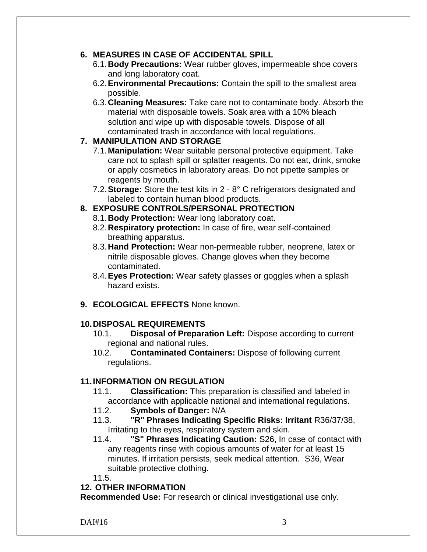# **6. MEASURES IN CASE OF ACCIDENTAL SPILL**

- 6.1.**Body Precautions:** Wear rubber gloves, impermeable shoe covers and long laboratory coat.
- 6.2.**Environmental Precautions:** Contain the spill to the smallest area possible.
- 6.3.**Cleaning Measures:** Take care not to contaminate body. Absorb the material with disposable towels. Soak area with a 10% bleach solution and wipe up with disposable towels. Dispose of all contaminated trash in accordance with local regulations.

#### **7. MANIPULATION AND STORAGE**

- 7.1.**Manipulation:** Wear suitable personal protective equipment. Take care not to splash spill or splatter reagents. Do not eat, drink, smoke or apply cosmetics in laboratory areas. Do not pipette samples or reagents by mouth.
- 7.2.**Storage:** Store the test kits in 2 8° C refrigerators designated and labeled to contain human blood products.

# **8. EXPOSURE CONTROLS/PERSONAL PROTECTION**

- 8.1.**Body Protection:** Wear long laboratory coat.
- 8.2.**Respiratory protection:** In case of fire, wear self-contained breathing apparatus.
- 8.3.**Hand Protection:** Wear non-permeable rubber, neoprene, latex or nitrile disposable gloves. Change gloves when they become contaminated.
- 8.4.**Eyes Protection:** Wear safety glasses or goggles when a splash hazard exists.
- **9. ECOLOGICAL EFFECTS** None known.

# **10.DISPOSAL REQUIREMENTS**

- 10.1. **Disposal of Preparation Left:** Dispose according to current regional and national rules.
- 10.2. **Contaminated Containers:** Dispose of following current regulations.

#### **11.INFORMATION ON REGULATION**

- 11.1. **Classification:** This preparation is classified and labeled in accordance with applicable national and international regulations.
- 11.2. **Symbols of Danger:** N/A
- 11.3. **"R" Phrases Indicating Specific Risks: Irritant** R36/37/38, Irritating to the eyes, respiratory system and skin.
- 11.4. **"S" Phrases Indicating Caution:** S26, In case of contact with any reagents rinse with copious amounts of water for at least 15 minutes. If irritation persists, seek medical attention. S36, Wear suitable protective clothing.

11.5.

#### **12. OTHER INFORMATION**

**Recommended Use:** For research or clinical investigational use only.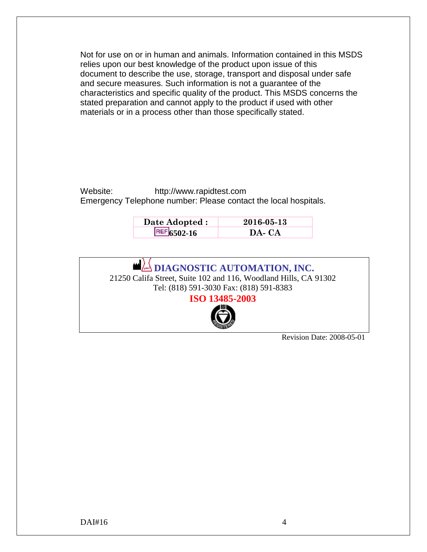Not for use on or in human and animals. Information contained in this MSDS relies upon our best knowledge of the product upon issue of this document to describe the use, storage, transport and disposal under safe and secure measures. Such information is not a guarantee of the characteristics and specific quality of the product. This MSDS concerns the stated preparation and cannot apply to the product if used with other materials or in a process other than those specifically stated.

Website: [http://www.rapidtest.com](http://www.rapidtest.com/) Emergency Telephone number: Please contact the local hospitals.

| Date Adopted : | $2016 - 05 - 13$ |
|----------------|------------------|
| $REF$ 6502-16  | DA-CA            |



Revision Date: 2008-05-01